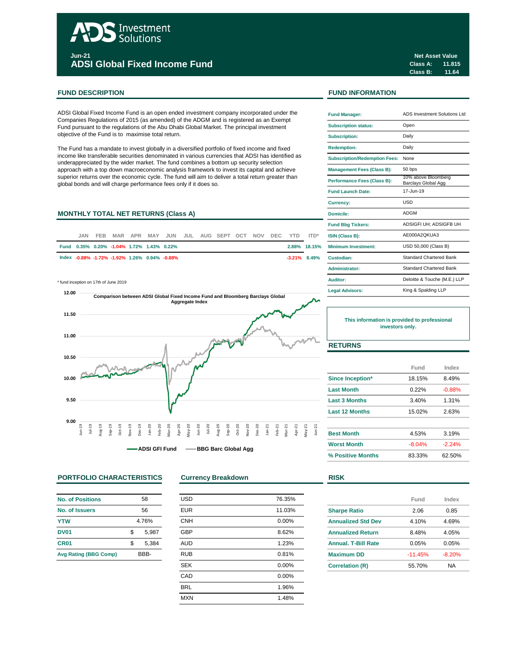# Investment **Solutions**

**Jun-21 ADSI Global Fixed Income Fund**

# **FUND DESCRIPTION FUND INFORMATION**

ADSI Global Fixed Income Fund is an open ended investment company incorporated under the Companies Regulations of 2015 (as amended) of the ADGM and is registered as an Exempt Fund pursuant to the regulations of the Abu Dhabi Global Market. The principal investment objective of the Fund is to maximise total return.

The Fund has a mandate to invest globally in a diversified portfolio of fixed income and fixed income like transferable securities denominated in various currencies that ADSI has identified as underappreciated by the wider market. The fund combines a bottom up security selection approach with a top down macroeconomic analysis framework to invest its capital and achieve superior returns over the economic cycle. The fund will aim to deliver a total return greater than global bonds and will charge performance fees only if it does so.

# **MONTHLY TOTAL NET RETURNS (Class A)**

| JAN. | FFB. |                                               |  | MAR APR MAY JUN JUL AUG SEPT OCT NOV DEC YTD ITD* |  |  |  |                 | <b>ISIN (Class B):</b>     |
|------|------|-----------------------------------------------|--|---------------------------------------------------|--|--|--|-----------------|----------------------------|
|      |      | Fund 0.35% 0.20% -1.04% 1.72% 1.43% 0.22%     |  |                                                   |  |  |  | 2.88% 18.15%    | <b>Minimum Investment:</b> |
|      |      | lndex -0.88% -1.72% -1.92% 1.26% 0.94% -0.88% |  |                                                   |  |  |  | $-3.21\%$ 8.49% | Custodian:                 |
|      |      |                                               |  |                                                   |  |  |  |                 |                            |

 $*$  fund inception on 17th of June 2019



## **PORTFOLIO CHARACTERISTICS Currency Breakdown RISK**

| No. of Positions             | 58          |
|------------------------------|-------------|
| No. of Issuers               | 56          |
| <b>YTW</b>                   | 4.76%       |
| <b>DV01</b>                  | \$<br>5.987 |
| CR <sub>01</sub>             | \$<br>5,384 |
| <b>Avg Rating (BBG Comp)</b> | RRR-        |

| <b>USD</b> | 76.35% |
|------------|--------|
| <b>EUR</b> | 11.03% |
| <b>CNH</b> | 0.00%  |
| <b>GBP</b> | 8.62%  |
| <b>AUD</b> | 1.23%  |
| <b>RUB</b> | 0.81%  |
| <b>SEK</b> | 0.00%  |
| CAD        | 0.00%  |
| <b>BRL</b> | 1.96%  |
| <b>MXN</b> | 1.48%  |
|            |        |

**Class A: 11.815 Class B: 11.64 Net Asset Value**

| <b>Fund Manager:</b>                 | ADS Investment Solutions Ltd               |
|--------------------------------------|--------------------------------------------|
| <b>Subscription status:</b>          | Open                                       |
| <b>Subscription:</b>                 | Daily                                      |
| <b>Redemption:</b>                   | Daily                                      |
| <b>Subscription/Redemption Fees:</b> | None                                       |
| <b>Management Fees (Class B):</b>    | 50 bps                                     |
| <b>Performance Fees (Class B):</b>   | 10% above Bloomberg<br>Barclays Global Agg |
| <b>Fund Launch Date:</b>             | 17-Jun-19                                  |
| <b>Currency:</b>                     | LISD                                       |
| Domicile:                            | ADGM                                       |
| <b>Fund Bbg Tickers:</b>             | ADSIGFI UH: ADSIGFB UH                     |
| ISIN (Class B):                      | AE000A2OKUA3                               |
| Minimum Investment:                  | USD 50,000 (Class B)                       |
| Custodian:                           | <b>Standard Chartered Bank</b>             |
| Administrator:                       | <b>Standard Chartered Bank</b>             |
| Auditor:                             | Deloitte & Touche (M.E.) LLP               |
| <b>Legal Advisors:</b>               | King & Spalding LLP                        |

**This information is provided to professional investors only.**

# **RETURNS**

|                         | Fund     | Index    |
|-------------------------|----------|----------|
| <b>Since Inception*</b> | 18.15%   | 8.49%    |
| <b>Last Month</b>       | 0.22%    | $-0.88%$ |
| <b>Last 3 Months</b>    | 3.40%    | 1.31%    |
| <b>Last 12 Months</b>   | 15.02%   | 2.63%    |
| <b>Best Month</b>       | 4.53%    | 3.19%    |
| <b>Worst Month</b>      | $-8.04%$ | $-2.24%$ |
| % Positive Months       | 83.33%   | 62.50%   |

|                            | Fund      | Index    |
|----------------------------|-----------|----------|
| <b>Sharpe Ratio</b>        | 2.06      | 0.85     |
| <b>Annualized Std Dev</b>  | 4.10%     | 4.69%    |
| <b>Annualized Return</b>   | 8.48%     | 4.05%    |
| <b>Annual, T-Bill Rate</b> | 0.05%     | 0.05%    |
| <b>Maximum DD</b>          | $-11.45%$ | $-8.20%$ |
| <b>Correlation (R)</b>     | 55.70%    | NA       |